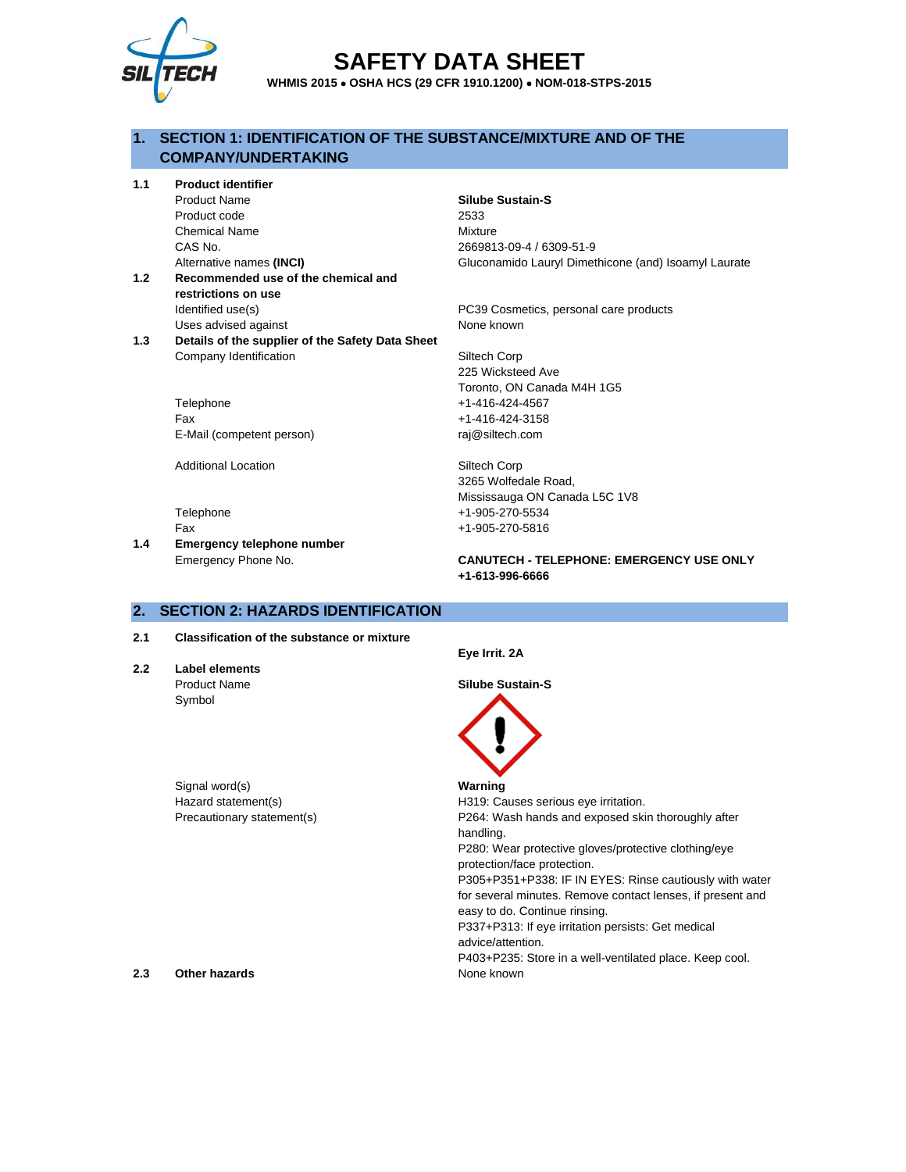

# **SAFETY DATA SHEET**

**WHMIS 2015** • **OSHA HCS (29 CFR 1910.1200)** • **NOM-018-STPS-2015**

## **1. SECTION 1: IDENTIFICATION OF THE SUBSTANCE/MIXTURE AND OF THE COMPANY/UNDERTAKING**

**1.1 Product identifier**

Product Name **Silube Sustain-S** Product code 2533 Chemical Name Mixture CAS No. 2669813-09-4 / 6309-51-9

- **1.2 Recommended use of the chemical and restrictions on use** Identified use(s) The Internal care products PC39 Cosmetics, personal care products Uses advised against None known
- **1.3 Details of the supplier of the Safety Data Sheet** Company Identification Siltech Corp

Telephone +1-416-424-4567 Fax +1-416-424-3158 E-Mail (competent person) raj@siltech.com

Additional Location **Siltech Corp** 

**1.4 Emergency telephone number**

Alternative names **(INCI)** Gluconamido Lauryl Dimethicone (and) Isoamyl Laurate

225 Wicksteed Ave Toronto, ON Canada M4H 1G5

3265 Wolfedale Road, Mississauga ON Canada L5C 1V8 Telephone +1-905-270-5534 Fax +1-905-270-5816

Emergency Phone No. **CANUTECH - TELEPHONE: EMERGENCY USE ONLY +1-613-996-6666**

## **2. SECTION 2: HAZARDS IDENTIFICATION**

**2.1 Classification of the substance or mixture**

**2.2 Label elements** Symbol

Signal word(s) **Warning** Hazard statement(s) The H319: Causes serious eye irritation.

**Eye Irrit. 2A**

Product Name **Silube Sustain-S**



Precautionary statement(s) The Reseautionary statement is not very statement of the P264: Wash hands and exposed skin thoroughly after handling. P280: Wear protective gloves/protective clothing/eye

protection/face protection.

P305+P351+P338: IF IN EYES: Rinse cautiously with water for several minutes. Remove contact lenses, if present and easy to do. Continue rinsing.

P337+P313: If eye irritation persists: Get medical advice/attention.

P403+P235: Store in a well-ventilated place. Keep cool.

**2.3 Other hazards None known**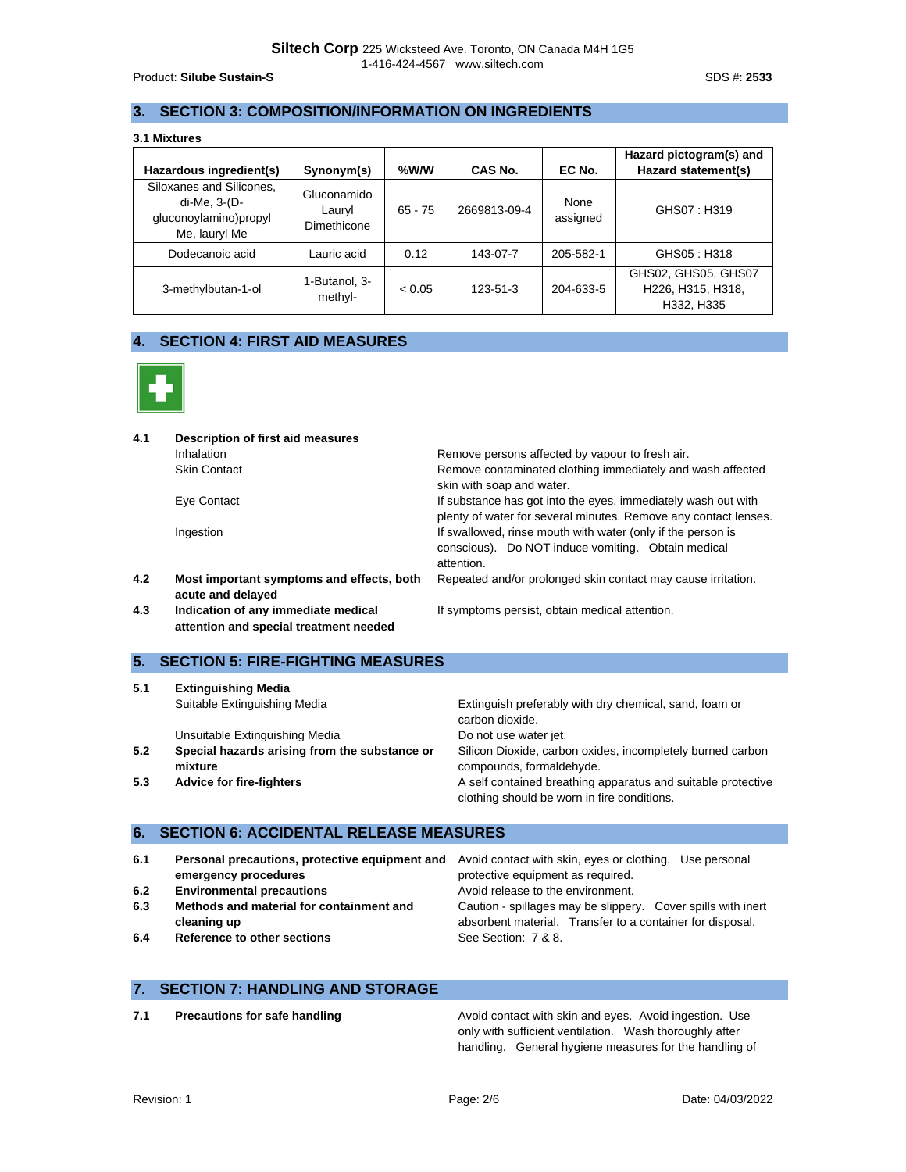Product: **Silube Sustain-S** SDS #: 2533

## **3. SECTION 3: COMPOSITION/INFORMATION ON INGREDIENTS**

| Hazardous ingredient(s)                                                            | Synonym(s)                           | %W/W      | CAS No.      | EC No.           | Hazard pictogram(s) and<br>Hazard statement(s)         |
|------------------------------------------------------------------------------------|--------------------------------------|-----------|--------------|------------------|--------------------------------------------------------|
| Siloxanes and Silicones.<br>di-Me, 3-(D-<br>gluconoylamino)propyl<br>Me, lauryl Me | Gluconamido<br>Lauryl<br>Dimethicone | $65 - 75$ | 2669813-09-4 | None<br>assigned | GHS07: H319                                            |
| Dodecanoic acid                                                                    | Lauric acid                          | 0.12      | 143-07-7     | 205-582-1        | GHS05: H318                                            |
| 3-methylbutan-1-ol                                                                 | 1-Butanol, 3-<br>methyl-             | < 0.05    | 123-51-3     | 204-633-5        | GHS02, GHS05, GHS07<br>H226, H315, H318,<br>H332, H335 |

## **4. SECTION 4: FIRST AID MEASURES**



| Remove persons affected by vapour to fresh air.                                                                                  |
|----------------------------------------------------------------------------------------------------------------------------------|
| Remove contaminated clothing immediately and wash affected<br>skin with soap and water.                                          |
| If substance has got into the eyes, immediately wash out with<br>plenty of water for several minutes. Remove any contact lenses. |
|                                                                                                                                  |

Ingestion Ingestion If swallowed, rinse mouth with water (only if the person is

**4.2 Most important symptoms and effects, both acute and delayed**

**4.3 Indication of any immediate medical attention and special treatment needed**

## **5. SECTION 5: FIRE-FIGHTING MEASURES**

| 5.1 | <b>Extinguishing Media</b>                               |                                                                                                             |
|-----|----------------------------------------------------------|-------------------------------------------------------------------------------------------------------------|
|     | Suitable Extinguishing Media                             | Extinguish preferably with dry chemical, sand, foam or<br>carbon dioxide.                                   |
|     | Unsuitable Extinguishing Media                           | Do not use water jet.                                                                                       |
| 5.2 | Special hazards arising from the substance or<br>mixture | Silicon Dioxide, carbon oxides, incompletely burned carbon<br>compounds, formaldehyde.                      |
| 5.3 | <b>Advice for fire-fighters</b>                          | A self contained breathing apparatus and suitable protective<br>clothing should be worn in fire conditions. |
|     |                                                          |                                                                                                             |

attention.

## **6. SECTION 6: ACCIDENTAL RELEASE MEASURES**

| 6.1 | emergency procedures                     | <b>Personal precautions, protective equipment and</b> Avoid contact with skin, eyes or clothing. Use personal<br>protective equipment as required. |
|-----|------------------------------------------|----------------------------------------------------------------------------------------------------------------------------------------------------|
| 6.2 | <b>Environmental precautions</b>         | Avoid release to the environment.                                                                                                                  |
| 6.3 | Methods and material for containment and | Caution - spillages may be slippery. Cover spills with inert                                                                                       |
|     | cleaning up                              | absorbent material. Transfer to a container for disposal.                                                                                          |
| 6.4 | Reference to other sections              | See Section: 7 & 8.                                                                                                                                |

### **7. SECTION 7: HANDLING AND STORAGE**

**7.1 Precautions for safe handling <b>Precautions for safe handling** Avoid contact with skin and eyes. Avoid ingestion. Use only with sufficient ventilation. Wash thoroughly after handling. General hygiene measures for the handling of

conscious). Do NOT induce vomiting. Obtain medical

If symptoms persist, obtain medical attention.

Repeated and/or prolonged skin contact may cause irritation.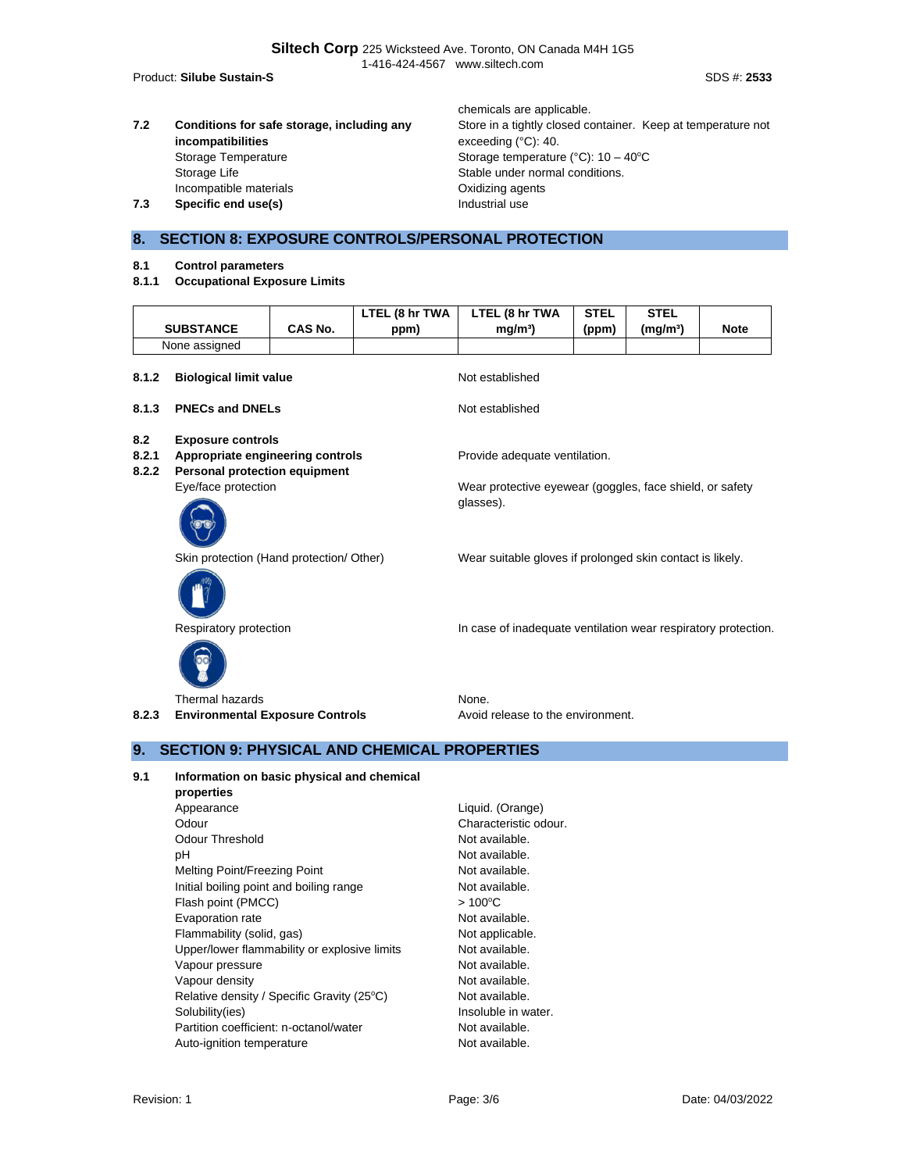**Siltech Corp** 225 Wicksteed Ave. Toronto, ON Canada M4H 1G5 1-416-424-4567 www.siltech.com

Product: **Silube Sustain-S** Subsets of the Sustain Security of the Sustainable of the Sustainable of the SDS #: 2533

**7.2 Conditions for safe storage, including any incompatibilities** Storage Temperature Storage temperature (°C): 10 – 40°C Storage Life Stable under normal conditions. Incompatible materials Oxidizing agents **7.3 Specific end use(s) Industrial use** 

chemicals are applicable. Store in a tightly closed container. Keep at temperature not exceeding (°C): 40.

**STEL** 

## **8. SECTION 8: EXPOSURE CONTROLS/PERSONAL PROTECTION**

- **8.1 Control parameters**
- **8.1.1 Occupational Exposure Limits**

|                                                                                                                               | <b>SUBSTANCE</b>                         | CAS No. | LTEL (8 hr TWA<br>ppm) | LTEL (8 hr TWA<br>mg/m <sup>3</sup>                                   | <b>STEL</b><br>(ppm) | <b>STEL</b><br>(mg/m <sup>3</sup> ) | <b>Note</b> |  |
|-------------------------------------------------------------------------------------------------------------------------------|------------------------------------------|---------|------------------------|-----------------------------------------------------------------------|----------------------|-------------------------------------|-------------|--|
|                                                                                                                               | None assigned                            |         |                        |                                                                       |                      |                                     |             |  |
| 8.1.2                                                                                                                         | <b>Biological limit value</b>            |         |                        | Not established                                                       |                      |                                     |             |  |
| 8.1.3                                                                                                                         | <b>PNECs and DNELs</b>                   |         |                        | Not established                                                       |                      |                                     |             |  |
| 8.2<br><b>Exposure controls</b><br>8.2.1<br>Appropriate engineering controls<br><b>Personal protection equipment</b><br>8.2.2 |                                          |         |                        | Provide adequate ventilation.                                         |                      |                                     |             |  |
|                                                                                                                               | Eye/face protection                      |         |                        | Wear protective eyewear (goggles, face shield, or safety<br>glasses). |                      |                                     |             |  |
|                                                                                                                               | Skin protection (Hand protection/ Other) |         |                        | Wear suitable gloves if prolonged skin contact is likely.             |                      |                                     |             |  |
|                                                                                                                               | Respiratory protection                   |         |                        | In case of inadequate ventilation wear respiratory protection.        |                      |                                     |             |  |
|                                                                                                                               | Thermal hazards                          |         |                        | None.                                                                 |                      |                                     |             |  |
| 8.2.3                                                                                                                         | <b>Environmental Exposure Controls</b>   |         |                        | Avoid release to the environment.                                     |                      |                                     |             |  |

## **9. SECTION 9: PHYSICAL AND CHEMICAL PROPERTIES**

- **9.1 Information on basic physical and chemical** 
	- **properties** Appearance Liquid. (Orange) Odour Characteristic odour. Odour Threshold Not available. pH Not available. Melting Point/Freezing Point Not available. Initial boiling point and boiling range Not available. Flash point (PMCC)  $> 100^{\circ}$ C Evaporation rate Not available. Flammability (solid, gas) Not applicable. Upper/lower flammability or explosive limits Not available. Vapour pressure Not available. Vapour density and the set of the Not available. Relative density / Specific Gravity (25°C) Not available. Solubility(ies) Solubility(ies) and the soluble in water. Partition coefficient: n-octanol/water Not available. Auto-ignition temperature Not available.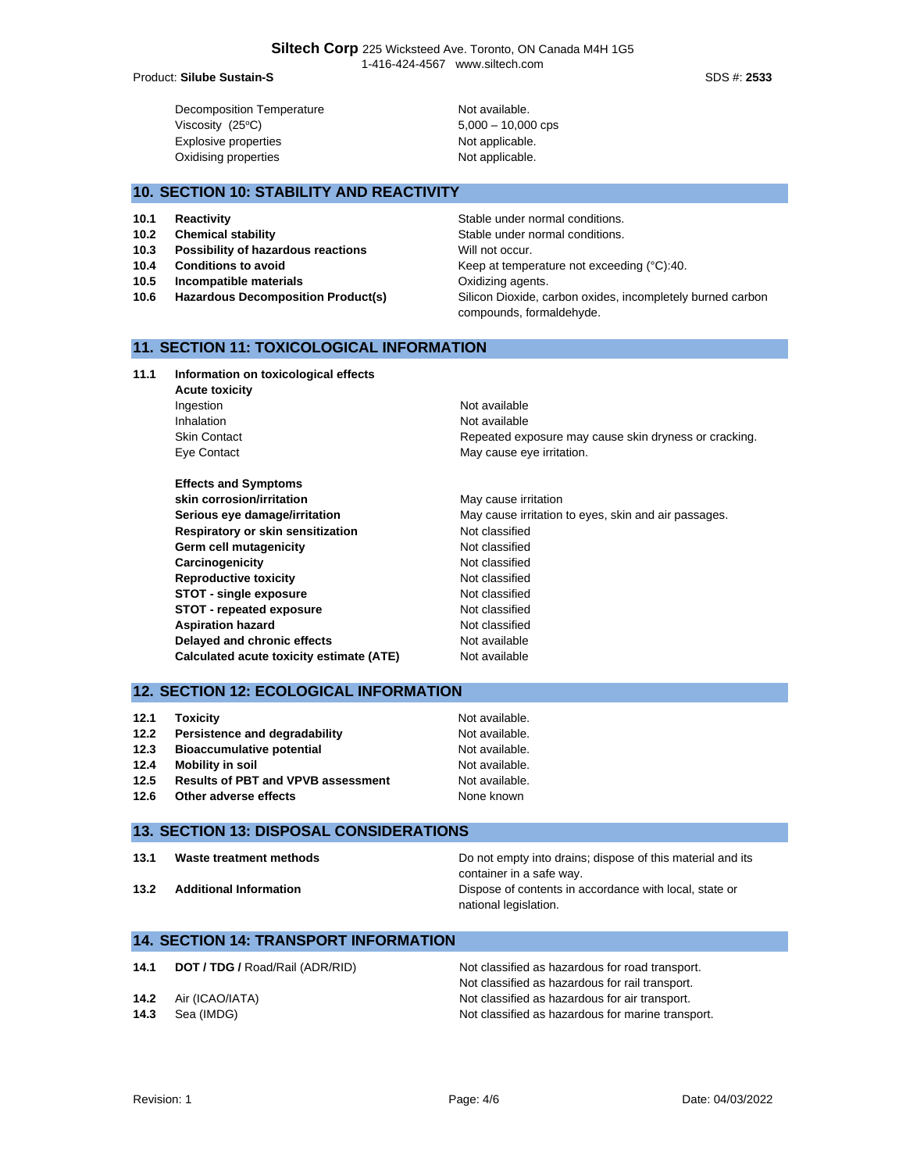#### Product: **Silube Sustain-S** Subsets of the Sustain Security of the Sustainable of the Sustainable of the SDS #: 2533

Decomposition Temperature Not available.  $Viscosity (25°C)$  5,000 – 10,000 cps Explosive properties **Not applicable**. Oxidising properties Not applicable.

## **10. SECTION 10: STABILITY AND REACTIVITY**

- 
- 
- **10.3** Possibility of hazardous reactions Will not occur.
- 
- **10.5 Incompatible materials 10.5 Incompatible materials Oxidizing agents.**
- **10.6 Hazardous Decomposition Product(s)** Silicon Dioxide, carbon oxides, incompletely burned carbon

**10.1 Reactivity 10.1 Reactivity Reactivity Reactivity Stable under normal conditions. 10.2 Chemical stability 10.2 Chemical stability Stable under normal conditions. 10.4 Conditions to avoid Example 20.40 Keep at temperature not exceeding (°C):40.** 

- **11. SECTION 11: TOXICOLOGICAL INFORMATION**
- **11.1 Information on toxicological effects Acute toxicity** Ingestion **Not available** Inhalation Not available Skin Contact **Repeated exposure may cause skin dryness or cracking.** Repeated exposure may cause skin dryness or cracking. Eye Contact **May cause eye irritation. Effects and Symptoms skin corrosion/irritation** May cause irritation **Serious eye damage/irritation** May cause irritation to eyes, skin and air passages. **Respiratory or skin sensitization** Not classified Germ cell mutagenicity **CERT CONTENTS** Not classified **Carcinogenicity Carcinogenicity Not classified Reproductive toxicity Not classified STOT - single exposure** Not classified **STOT - repeated exposure** Not classified
- **12. SECTION 12: ECOLOGICAL INFORMATION**

| 12.1 | <b>Toxicity</b>                           | Not available. |
|------|-------------------------------------------|----------------|
| 12.2 | Persistence and degradability             | Not available. |
| 12.3 | <b>Bioaccumulative potential</b>          | Not available. |
| 12.4 | Mobility in soil                          | Not available. |
| 12.5 | <b>Results of PBT and VPVB assessment</b> | Not available. |
| 12.6 | Other adverse effects                     | None known     |

**Aspiration hazard Not classified Not classified Delayed and chronic effects** Not available **Calculated acute toxicity estimate (ATE)** Not available

## **13. SECTION 13: DISPOSAL CONSIDERATIONS**

| 13.1 | Waste treatment methods |
|------|-------------------------|
|      |                         |

Do not empty into drains; dispose of this material and its container in a safe way. **13.2 Additional Information Dispose of contents in accordance with local, state or** national legislation.

## **14. SECTION 14: TRANSPORT INFORMATION**

| 14.1 | <b>DOT / TDG /</b> Road/Rail (ADR/RID) | Not classified as hazardous for road transport.   |
|------|----------------------------------------|---------------------------------------------------|
|      |                                        | Not classified as hazardous for rail transport.   |
| 14.2 | Air (ICAO/IATA)                        | Not classified as hazardous for air transport.    |
| 14.3 | Sea (IMDG)                             | Not classified as hazardous for marine transport. |

compounds, formaldehyde.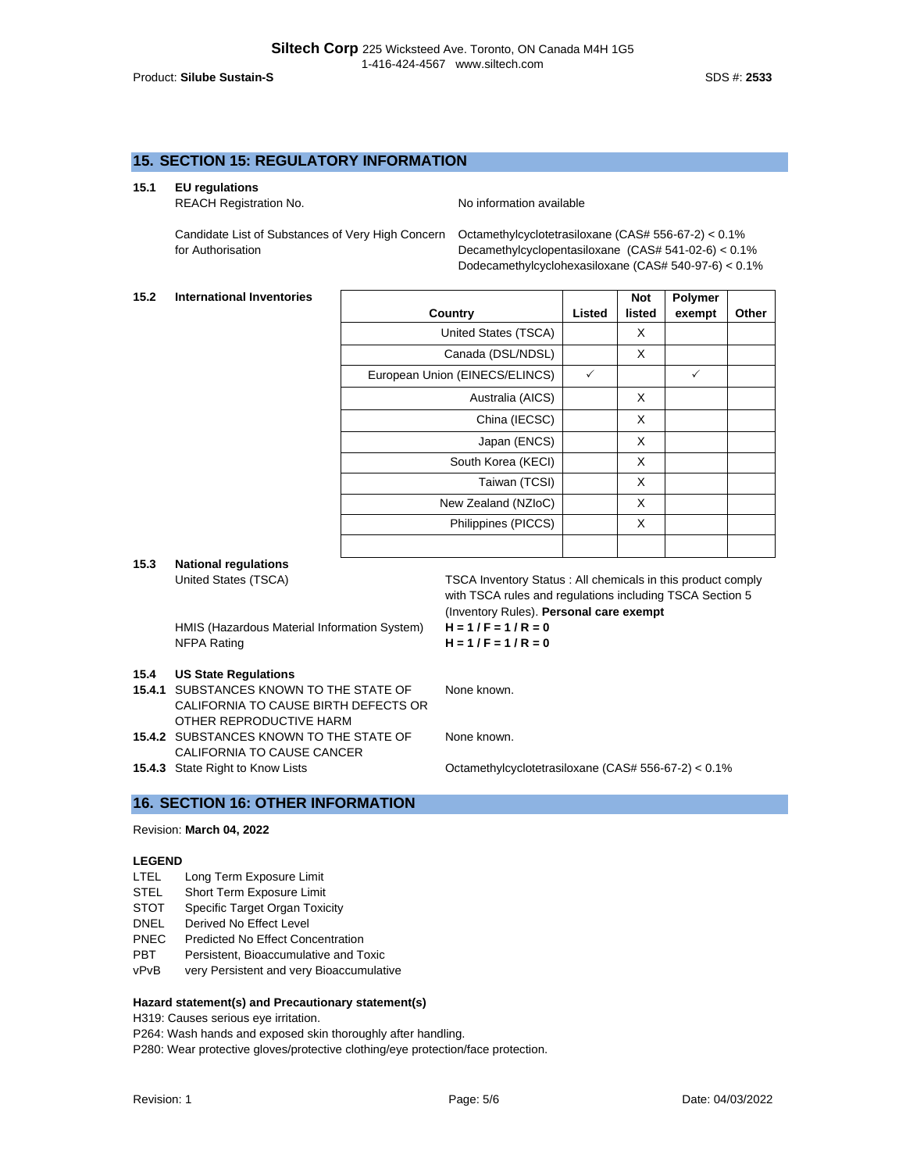### **15. SECTION 15: REGULATORY INFORMATION**

#### **15.1 EU regulations**

REACH Registration No. Noinformation available

Candidate List of Substances of Very High Concern for Authorisation

Octamethylcyclotetrasiloxane (CAS# 556-67-2) < 0.1% Decamethylcyclopentasiloxane (CAS# 541-02-6) < 0.1% Dodecamethylcyclohexasiloxane (CAS# 540-97-6) < 0.1%

#### **15.2 International Inventories**

|                                |        | <b>Not</b> | <b>Polymer</b> |       |
|--------------------------------|--------|------------|----------------|-------|
| Country                        | Listed | listed     | exempt         | Other |
| United States (TSCA)           |        | X          |                |       |
| Canada (DSL/NDSL)              |        | X          |                |       |
| European Union (EINECS/ELINCS) | ✓      |            | ✓              |       |
| Australia (AICS)               |        | X          |                |       |
| China (IECSC)                  |        | X          |                |       |
| Japan (ENCS)                   |        | X          |                |       |
| South Korea (KECI)             |        | X          |                |       |
| Taiwan (TCSI)                  |        | X          |                |       |
| New Zealand (NZIoC)            |        | X          |                |       |
| Philippines (PICCS)            |        | X          |                |       |
|                                |        |            |                |       |

**15.3 National regulations**

**HMIS (Hazardous Material Information System) NFPA Rating** 

#### **15.4 US State Regulations**

- **15.4.1** SUBSTANCES KNOWN TO THE STATE OF CALIFORNIA TO CAUSE BIRTH DEFECTS OR OTHER REPRODUCTIVE HARM
- **15.4.2** SUBSTANCES KNOWN TO THE STATE OF CALIFORNIA TO CAUSE CANCER
- 

United States (TSCA) TSCA Inventory Status : All chemicals in this product comply with TSCA rules and regulations including TSCA Section 5 (Inventory Rules). **Personal care exempt**<br> $H = 1 / F = 1 / R = 0$ 

$$
H = 1/F = 1/R = 0
$$

None known.

None known.

**15.4.3** State Right to Know Lists **CHO** Cotamethylcyclotetrasiloxane (CAS# 556-67-2) < 0.1%

#### **16. SECTION 16: OTHER INFORMATION**

## Revision: **March 04, 2022**

#### **LEGEND**

- LTEL Long Term Exposure Limit
- STEL Short Term Exposure Limit
- STOT Specific Target Organ Toxicity
- DNEL Derived No Effect Level
- PNEC Predicted No Effect Concentration
- PBT Persistent, Bioaccumulative and Toxic
- vPvB very Persistent and very Bioaccumulative

#### **Hazard statement(s) and Precautionary statement(s)**

H319: Causes serious eye irritation.

P264: Wash hands and exposed skin thoroughly after handling.

P280: Wear protective gloves/protective clothing/eye protection/face protection.